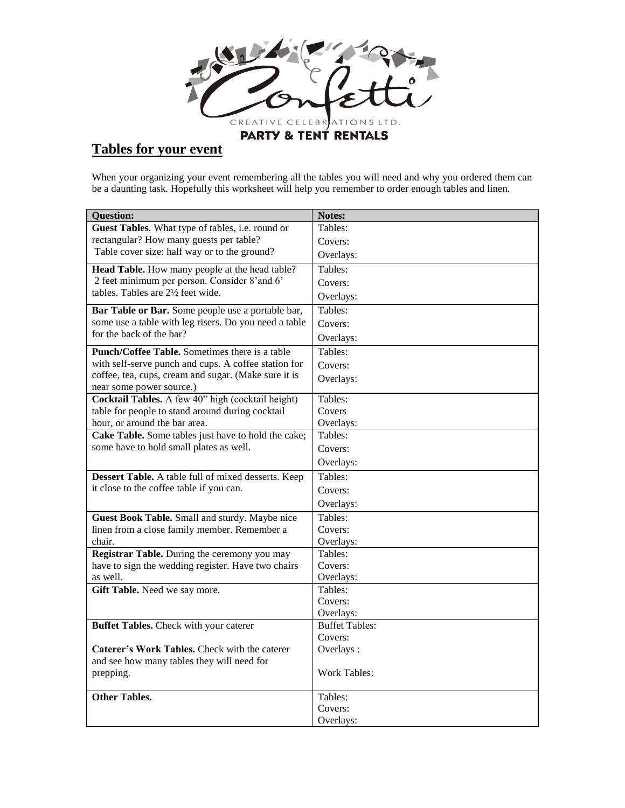

## **Tables for your event**

When your organizing your event remembering all the tables you will need and why you ordered them can be a daunting task. Hopefully this worksheet will help you remember to order enough tables and linen.

| <b>Question:</b>                                      | Notes:                             |
|-------------------------------------------------------|------------------------------------|
| Guest Tables. What type of tables, i.e. round or      | Tables:                            |
| rectangular? How many guests per table?               | Covers:                            |
| Table cover size: half way or to the ground?          | Overlays:                          |
| Head Table. How many people at the head table?        | Tables:                            |
| 2 feet minimum per person. Consider 8'and 6'          | Covers:                            |
| tables. Tables are 2½ feet wide.                      | Overlays:                          |
| Bar Table or Bar. Some people use a portable bar,     | Tables:                            |
| some use a table with leg risers. Do you need a table | Covers:                            |
| for the back of the bar?                              | Overlays:                          |
| Punch/Coffee Table. Sometimes there is a table        | Tables:                            |
| with self-serve punch and cups. A coffee station for  | Covers:                            |
| coffee, tea, cups, cream and sugar. (Make sure it is  | Overlays:                          |
| near some power source.)                              |                                    |
| Cocktail Tables. A few 40" high (cocktail height)     | Tables:                            |
| table for people to stand around during cocktail      | Covers                             |
| hour, or around the bar area.                         | Overlays:                          |
| Cake Table. Some tables just have to hold the cake;   | Tables:                            |
| some have to hold small plates as well.               | Covers:                            |
|                                                       | Overlays:                          |
| Dessert Table. A table full of mixed desserts. Keep   | Tables:                            |
| it close to the coffee table if you can.              | Covers:                            |
|                                                       | Overlays:                          |
| Guest Book Table. Small and sturdy. Maybe nice        | Tables:                            |
| linen from a close family member. Remember a          | Covers:                            |
| chair.                                                | Overlays:                          |
| Registrar Table. During the ceremony you may          | Tables:                            |
| have to sign the wedding register. Have two chairs    | Covers:                            |
| as well.                                              | Overlays:                          |
| Gift Table. Need we say more.                         | Tables:                            |
|                                                       | Covers:                            |
|                                                       | Overlays:<br><b>Buffet Tables:</b> |
| Buffet Tables. Check with your caterer                | Covers:                            |
| Caterer's Work Tables. Check with the caterer         | Overlays:                          |
| and see how many tables they will need for            |                                    |
| prepping.                                             | <b>Work Tables:</b>                |
|                                                       |                                    |
| <b>Other Tables.</b>                                  | Tables:                            |
|                                                       | Covers:                            |
|                                                       | Overlays:                          |